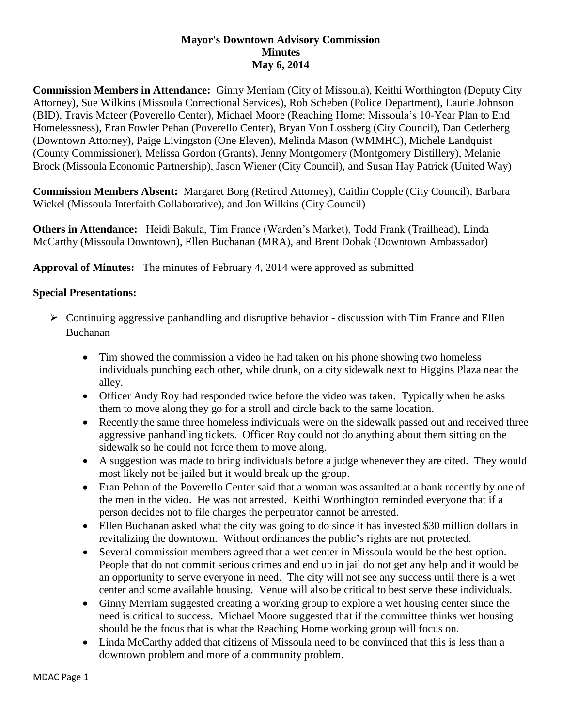## **Mayor's Downtown Advisory Commission Minutes May 6, 2014**

**Commission Members in Attendance:** Ginny Merriam (City of Missoula), Keithi Worthington (Deputy City Attorney), Sue Wilkins (Missoula Correctional Services), Rob Scheben (Police Department), Laurie Johnson (BID), Travis Mateer (Poverello Center), Michael Moore (Reaching Home: Missoula's 10-Year Plan to End Homelessness), Eran Fowler Pehan (Poverello Center), Bryan Von Lossberg (City Council), Dan Cederberg (Downtown Attorney), Paige Livingston (One Eleven), Melinda Mason (WMMHC), Michele Landquist (County Commissioner), Melissa Gordon (Grants), Jenny Montgomery (Montgomery Distillery), Melanie Brock (Missoula Economic Partnership), Jason Wiener (City Council), and Susan Hay Patrick (United Way)

**Commission Members Absent:** Margaret Borg (Retired Attorney), Caitlin Copple (City Council), Barbara Wickel (Missoula Interfaith Collaborative), and Jon Wilkins (City Council)

**Others in Attendance:** Heidi Bakula, Tim France (Warden's Market), Todd Frank (Trailhead), Linda McCarthy (Missoula Downtown), Ellen Buchanan (MRA), and Brent Dobak (Downtown Ambassador)

**Approval of Minutes:** The minutes of February 4, 2014 were approved as submitted

## **Special Presentations:**

- $\triangleright$  Continuing aggressive panhandling and disruptive behavior discussion with Tim France and Ellen Buchanan
	- Tim showed the commission a video he had taken on his phone showing two homeless individuals punching each other, while drunk, on a city sidewalk next to Higgins Plaza near the alley.
	- Officer Andy Roy had responded twice before the video was taken. Typically when he asks them to move along they go for a stroll and circle back to the same location.
	- Recently the same three homeless individuals were on the sidewalk passed out and received three aggressive panhandling tickets. Officer Roy could not do anything about them sitting on the sidewalk so he could not force them to move along.
	- A suggestion was made to bring individuals before a judge whenever they are cited. They would most likely not be jailed but it would break up the group.
	- Eran Pehan of the Poverello Center said that a woman was assaulted at a bank recently by one of the men in the video. He was not arrested. Keithi Worthington reminded everyone that if a person decides not to file charges the perpetrator cannot be arrested.
	- Ellen Buchanan asked what the city was going to do since it has invested \$30 million dollars in revitalizing the downtown. Without ordinances the public's rights are not protected.
	- Several commission members agreed that a wet center in Missoula would be the best option. People that do not commit serious crimes and end up in jail do not get any help and it would be an opportunity to serve everyone in need. The city will not see any success until there is a wet center and some available housing. Venue will also be critical to best serve these individuals.
	- Ginny Merriam suggested creating a working group to explore a wet housing center since the need is critical to success. Michael Moore suggested that if the committee thinks wet housing should be the focus that is what the Reaching Home working group will focus on.
	- Linda McCarthy added that citizens of Missoula need to be convinced that this is less than a downtown problem and more of a community problem.